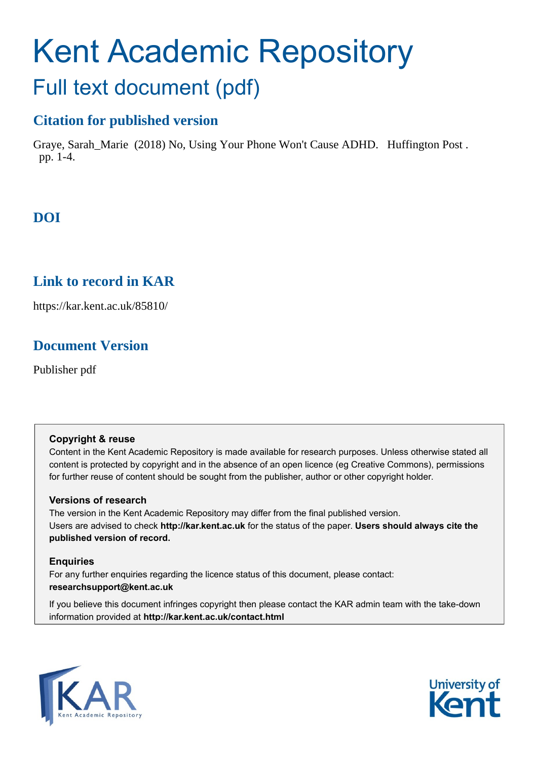# Kent Academic Repository Full text document (pdf)

# **Citation for published version**

Graye, Sarah\_Marie (2018) No, Using Your Phone Won't Cause ADHD. Huffington Post . pp. 1-4.

# **DOI**

# **Link to record in KAR**

https://kar.kent.ac.uk/85810/

# **Document Version**

Publisher pdf

#### **Copyright & reuse**

Content in the Kent Academic Repository is made available for research purposes. Unless otherwise stated all content is protected by copyright and in the absence of an open licence (eg Creative Commons), permissions for further reuse of content should be sought from the publisher, author or other copyright holder.

#### **Versions of research**

The version in the Kent Academic Repository may differ from the final published version. Users are advised to check **http://kar.kent.ac.uk** for the status of the paper. **Users should always cite the published version of record.**

#### **Enquiries**

For any further enquiries regarding the licence status of this document, please contact: **researchsupport@kent.ac.uk**

If you believe this document infringes copyright then please contact the KAR admin team with the take-down information provided at **http://kar.kent.ac.uk/contact.html**



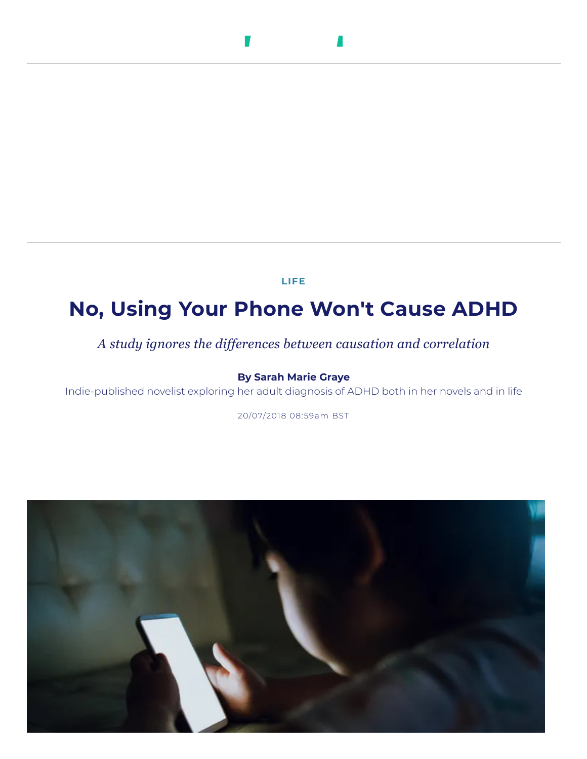#### $\mathcal{L}$ л

**[LIFE](https://www.huffingtonpost.co.uk/lifestyle/)**

# **No, Using Your Phone Won't Cause ADHD**

*A study ignores the differences between causation and correlation*

#### **By Sarah Marie [Graye](https://www.huffingtonpost.co.uk/author/sarah-marie-graye)**

Indie-published novelist exploring her adult diagnosis of ADHD both in her novels and in life

20/07/2018 08:59am BST

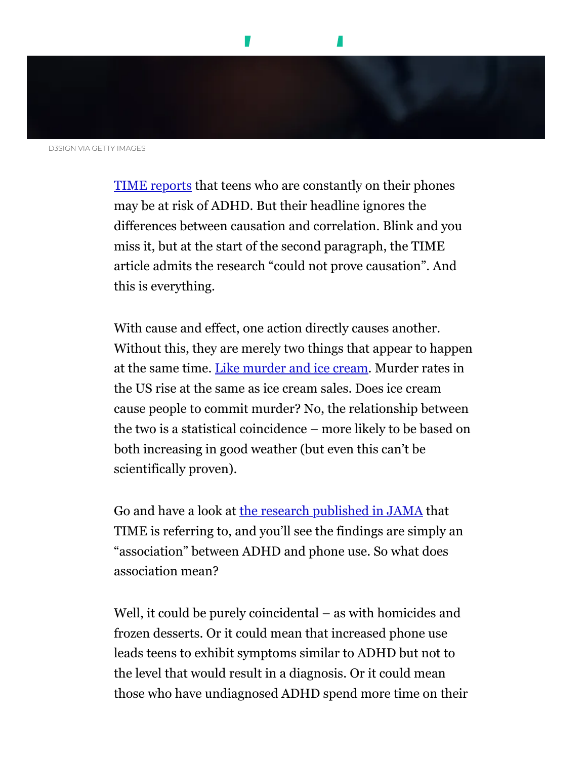

D3SIGN VIA GETTY IMAGES

[TIME reports](http://time.com/5341707/screen-use-adhd-study/) that teens who are constantly on their phones may be at risk of ADHD. But their headline ignores the differences between causation and correlation. Blink and you miss it, but at the start of the second paragraph, the TIME article admits the research "could not prove causation". And this is everything.

With cause and effect, one action directly causes another. Without this, they are merely two things that appear to happen at the same time. [Like murder and ice cream.](https://www.lifehack.org/624604/the-most-common-bias-people-have-that-leads-to-wrong-decisions) Murder rates in the US rise at the same as ice cream sales. Does ice cream cause people to commit murder? No, the relationship between the two is a statistical coincidence – more likely to be based on both increasing in good weather (but even this can't be scientifically proven).

Go and have a look at [the research published in JAMA](https://jamanetwork.com/journals/jama/article-abstract/2687861) that TIME is referring to, and you'll see the findings are simply an "association" between ADHD and phone use. So what does association mean?

Well, it could be purely coincidental – as with homicides and frozen desserts. Or it could mean that increased phone use leads teens to exhibit symptoms similar to ADHD but not to the level that would result in a diagnosis. Or it could mean those who have undiagnosed ADHD spend more time on their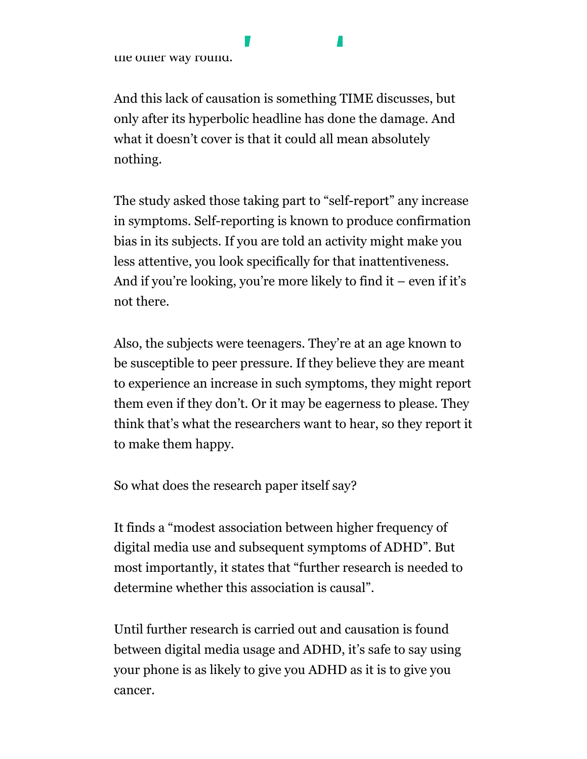the other way round.

And this lack of causation is something TIME discusses, but only after its hyperbolic headline has done the damage. And what it doesn't cover is that it could all mean absolutely nothing.

phones than others – t[he ADHD driving](https://www.huffingtonpost.co.uk/) the phone usage, not

The study asked those taking part to "self-report" any increase in symptoms. Self-reporting is known to produce confirmation bias in its subjects. If you are told an activity might make you less attentive, you look specifically for that inattentiveness. And if you're looking, you're more likely to find it – even if it's not there.

Also, the subjects were teenagers. They're at an age known to be susceptible to peer pressure. If they believe they are meant to experience an increase in such symptoms, they might report them even if they don't. Or it may be eagerness to please. They think that's what the researchers want to hear, so they report it to make them happy.

So what does the research paper itself say?

It finds a "modest association between higher frequency of digital media use and subsequent symptoms of ADHD". But most importantly, it states that "further research is needed to determine whether this association is causal".

Until further research is carried out and causation is found between digital media usage and ADHD, it's safe to say using your phone is as likely to give you ADHD as it is to give you cancer.